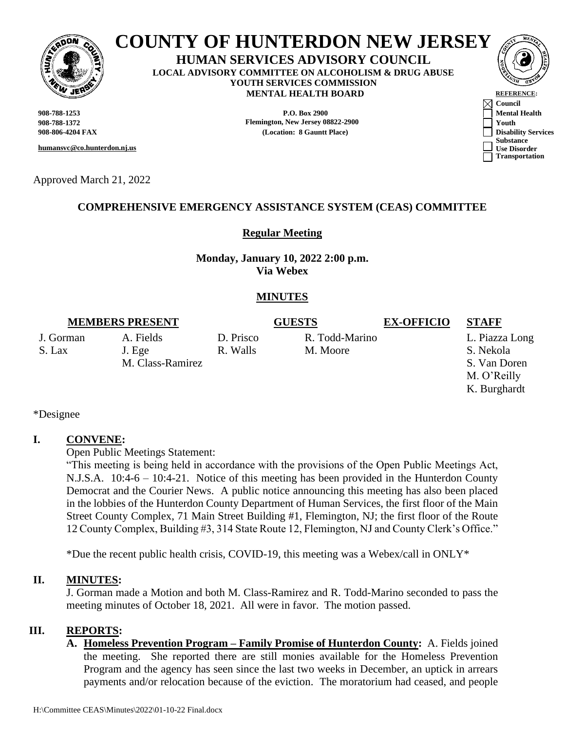

# **COUNTY OF HUNTERDON NEW JERSEY**

**HUMAN SERVICES ADVISORY COUNCIL LOCAL ADVISORY COMMITTEE ON ALCOHOLISM & DRUG ABUSE YOUTH SERVICES COMMISSION MENTAL HEALTH BOARD REFERENCE** 

**908-788-1372 Flemington, New Jersey 08822-2900 Youth**

**humansvc@co.hunterdon.nj.us**

Approved March 21, 2022

# **COMPREHENSIVE EMERGENCY ASSISTANCE SYSTEM (CEAS) COMMITTEE**

#### **Regular Meeting**

**Monday, January 10, 2022 2:00 p.m. Via Webex**

#### **MINUTES**

#### **MEMBERS PRESENT GUESTS EX-OFFICIO STAFF**

J. Gorman A. Fields D. Prisco R. Todd-Marino L. Piazza Long S. Lax J. Ege R. Walls M. Moore S. Nekola

M. Class-Ramirez S. Van Doren M. O'Reilly K. Burghardt

\*Designee

#### **I. CONVENE:**

Open Public Meetings Statement:

"This meeting is being held in accordance with the provisions of the Open Public Meetings Act, N.J.S.A. 10:4-6 – 10:4-21. Notice of this meeting has been provided in the Hunterdon County Democrat and the Courier News. A public notice announcing this meeting has also been placed in the lobbies of the Hunterdon County Department of Human Services, the first floor of the Main Street County Complex, 71 Main Street Building #1, Flemington, NJ; the first floor of the Route 12 County Complex, Building #3, 314 State Route 12, Flemington, NJ and County Clerk's Office."

\*Due the recent public health crisis, COVID-19, this meeting was a Webex/call in ONLY\*

#### **II. MINUTES:**

J. Gorman made a Motion and both M. Class-Ramirez and R. Todd-Marino seconded to pass the meeting minutes of October 18, 2021. All were in favor. The motion passed.

### **III. REPORTS:**

**A. Homeless Prevention Program – Family Promise of Hunterdon County:** A. Fields joined the meeting. She reported there are still monies available for the Homeless Prevention Program and the agency has seen since the last two weeks in December, an uptick in arrears payments and/or relocation because of the eviction. The moratorium had ceased, and people

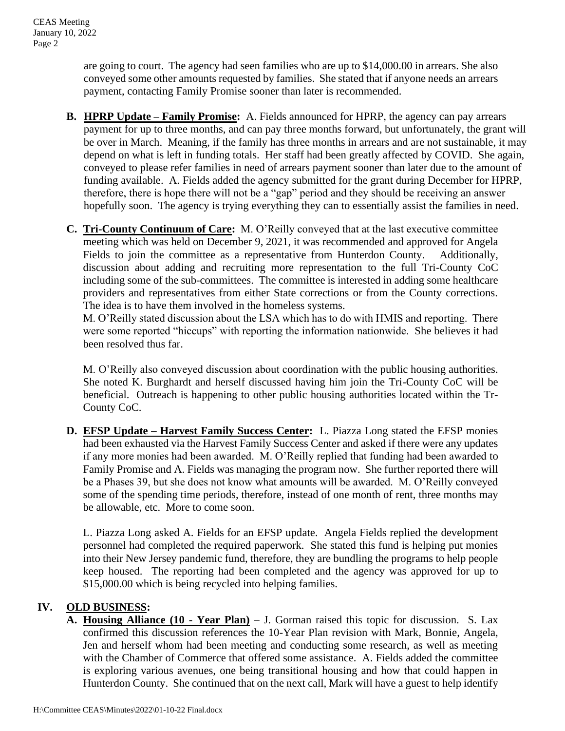are going to court. The agency had seen families who are up to \$14,000.00 in arrears. She also conveyed some other amounts requested by families. She stated that if anyone needs an arrears payment, contacting Family Promise sooner than later is recommended.

- **B. HPRP Update – Family Promise:** A. Fields announced for HPRP, the agency can pay arrears payment for up to three months, and can pay three months forward, but unfortunately, the grant will be over in March. Meaning, if the family has three months in arrears and are not sustainable, it may depend on what is left in funding totals. Her staff had been greatly affected by COVID. She again, conveyed to please refer families in need of arrears payment sooner than later due to the amount of funding available. A. Fields added the agency submitted for the grant during December for HPRP, therefore, there is hope there will not be a "gap" period and they should be receiving an answer hopefully soon. The agency is trying everything they can to essentially assist the families in need.
- **C. Tri-County Continuum of Care:** M. O'Reilly conveyed that at the last executive committee meeting which was held on December 9, 2021, it was recommended and approved for Angela Fields to join the committee as a representative from Hunterdon County. Additionally, discussion about adding and recruiting more representation to the full Tri-County CoC including some of the sub-committees. The committee is interested in adding some healthcare providers and representatives from either State corrections or from the County corrections. The idea is to have them involved in the homeless systems.

M. O'Reilly stated discussion about the LSA which has to do with HMIS and reporting. There were some reported "hiccups" with reporting the information nationwide. She believes it had been resolved thus far.

M. O'Reilly also conveyed discussion about coordination with the public housing authorities. She noted K. Burghardt and herself discussed having him join the Tri-County CoC will be beneficial. Outreach is happening to other public housing authorities located within the Tr-County CoC.

**D. EFSP Update – Harvest Family Success Center:** L. Piazza Long stated the EFSP monies had been exhausted via the Harvest Family Success Center and asked if there were any updates if any more monies had been awarded. M. O'Reilly replied that funding had been awarded to Family Promise and A. Fields was managing the program now. She further reported there will be a Phases 39, but she does not know what amounts will be awarded. M. O'Reilly conveyed some of the spending time periods, therefore, instead of one month of rent, three months may be allowable, etc. More to come soon.

L. Piazza Long asked A. Fields for an EFSP update. Angela Fields replied the development personnel had completed the required paperwork. She stated this fund is helping put monies into their New Jersey pandemic fund, therefore, they are bundling the programs to help people keep housed. The reporting had been completed and the agency was approved for up to \$15,000.00 which is being recycled into helping families.

# **IV. OLD BUSINESS:**

**A. Housing Alliance (10 - Year Plan)** – J. Gorman raised this topic for discussion. S. Lax confirmed this discussion references the 10-Year Plan revision with Mark, Bonnie, Angela, Jen and herself whom had been meeting and conducting some research, as well as meeting with the Chamber of Commerce that offered some assistance. A. Fields added the committee is exploring various avenues, one being transitional housing and how that could happen in Hunterdon County. She continued that on the next call, Mark will have a guest to help identify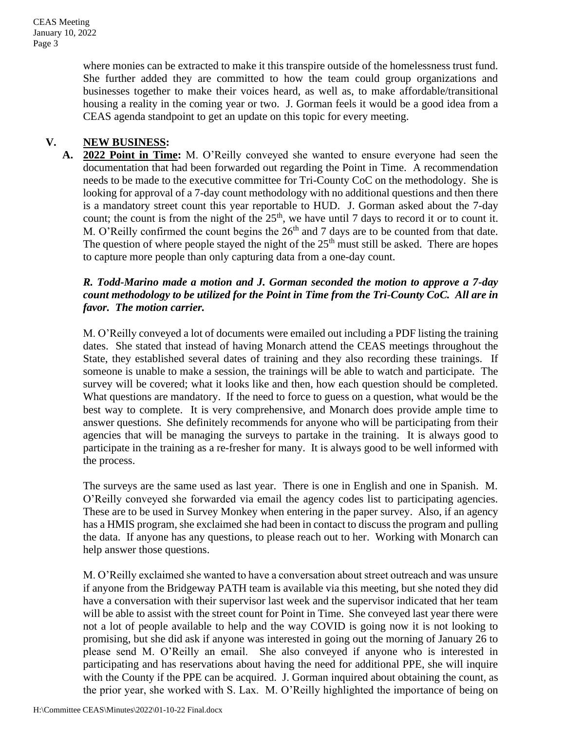where monies can be extracted to make it this transpire outside of the homelessness trust fund. She further added they are committed to how the team could group organizations and businesses together to make their voices heard, as well as, to make affordable/transitional housing a reality in the coming year or two. J. Gorman feels it would be a good idea from a CEAS agenda standpoint to get an update on this topic for every meeting.

# **V. NEW BUSINESS:**

**A. 2022 Point in Time:** M. O'Reilly conveyed she wanted to ensure everyone had seen the documentation that had been forwarded out regarding the Point in Time. A recommendation needs to be made to the executive committee for Tri-County CoC on the methodology. She is looking for approval of a 7-day count methodology with no additional questions and then there is a mandatory street count this year reportable to HUD. J. Gorman asked about the 7-day count; the count is from the night of the  $25<sup>th</sup>$ , we have until 7 days to record it or to count it. M. O'Reilly confirmed the count begins the  $26<sup>th</sup>$  and 7 days are to be counted from that date. The question of where people stayed the night of the  $25<sup>th</sup>$  must still be asked. There are hopes to capture more people than only capturing data from a one-day count.

## *R. Todd-Marino made a motion and J. Gorman seconded the motion to approve a 7-day count methodology to be utilized for the Point in Time from the Tri-County CoC. All are in favor. The motion carrier.*

M. O'Reilly conveyed a lot of documents were emailed out including a PDF listing the training dates. She stated that instead of having Monarch attend the CEAS meetings throughout the State, they established several dates of training and they also recording these trainings. If someone is unable to make a session, the trainings will be able to watch and participate. The survey will be covered; what it looks like and then, how each question should be completed. What questions are mandatory. If the need to force to guess on a question, what would be the best way to complete. It is very comprehensive, and Monarch does provide ample time to answer questions. She definitely recommends for anyone who will be participating from their agencies that will be managing the surveys to partake in the training. It is always good to participate in the training as a re-fresher for many. It is always good to be well informed with the process.

The surveys are the same used as last year. There is one in English and one in Spanish. M. O'Reilly conveyed she forwarded via email the agency codes list to participating agencies. These are to be used in Survey Monkey when entering in the paper survey. Also, if an agency has a HMIS program, she exclaimed she had been in contact to discuss the program and pulling the data. If anyone has any questions, to please reach out to her. Working with Monarch can help answer those questions.

M. O'Reilly exclaimed she wanted to have a conversation about street outreach and was unsure if anyone from the Bridgeway PATH team is available via this meeting, but she noted they did have a conversation with their supervisor last week and the supervisor indicated that her team will be able to assist with the street count for Point in Time. She conveyed last year there were not a lot of people available to help and the way COVID is going now it is not looking to promising, but she did ask if anyone was interested in going out the morning of January 26 to please send M. O'Reilly an email. She also conveyed if anyone who is interested in participating and has reservations about having the need for additional PPE, she will inquire with the County if the PPE can be acquired. J. Gorman inquired about obtaining the count, as the prior year, she worked with S. Lax. M. O'Reilly highlighted the importance of being on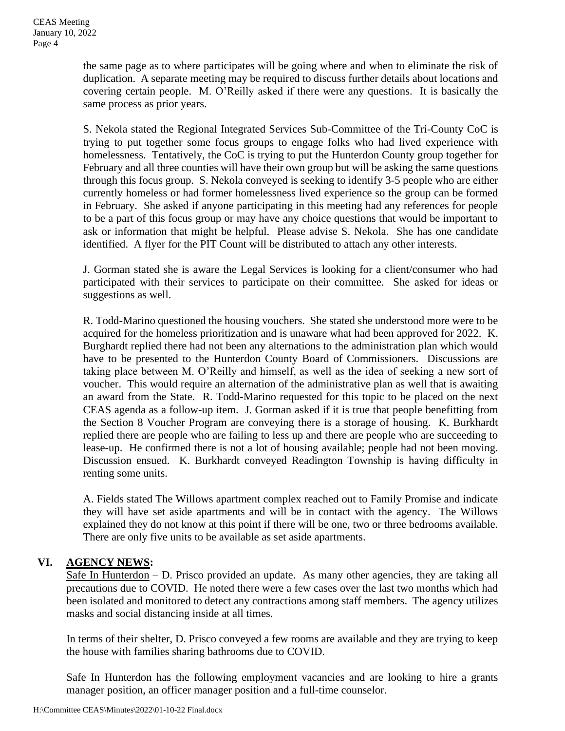the same page as to where participates will be going where and when to eliminate the risk of duplication. A separate meeting may be required to discuss further details about locations and covering certain people. M. O'Reilly asked if there were any questions. It is basically the same process as prior years.

S. Nekola stated the Regional Integrated Services Sub-Committee of the Tri-County CoC is trying to put together some focus groups to engage folks who had lived experience with homelessness. Tentatively, the CoC is trying to put the Hunterdon County group together for February and all three counties will have their own group but will be asking the same questions through this focus group. S. Nekola conveyed is seeking to identify 3-5 people who are either currently homeless or had former homelessness lived experience so the group can be formed in February. She asked if anyone participating in this meeting had any references for people to be a part of this focus group or may have any choice questions that would be important to ask or information that might be helpful. Please advise S. Nekola. She has one candidate identified. A flyer for the PIT Count will be distributed to attach any other interests.

J. Gorman stated she is aware the Legal Services is looking for a client/consumer who had participated with their services to participate on their committee. She asked for ideas or suggestions as well.

R. Todd-Marino questioned the housing vouchers. She stated she understood more were to be acquired for the homeless prioritization and is unaware what had been approved for 2022. K. Burghardt replied there had not been any alternations to the administration plan which would have to be presented to the Hunterdon County Board of Commissioners. Discussions are taking place between M. O'Reilly and himself, as well as the idea of seeking a new sort of voucher. This would require an alternation of the administrative plan as well that is awaiting an award from the State. R. Todd-Marino requested for this topic to be placed on the next CEAS agenda as a follow-up item. J. Gorman asked if it is true that people benefitting from the Section 8 Voucher Program are conveying there is a storage of housing. K. Burkhardt replied there are people who are failing to less up and there are people who are succeeding to lease-up. He confirmed there is not a lot of housing available; people had not been moving. Discussion ensued. K. Burkhardt conveyed Readington Township is having difficulty in renting some units.

A. Fields stated The Willows apartment complex reached out to Family Promise and indicate they will have set aside apartments and will be in contact with the agency. The Willows explained they do not know at this point if there will be one, two or three bedrooms available. There are only five units to be available as set aside apartments.

# **VI. AGENCY NEWS:**

Safe In Hunterdon – D. Prisco provided an update. As many other agencies, they are taking all precautions due to COVID. He noted there were a few cases over the last two months which had been isolated and monitored to detect any contractions among staff members. The agency utilizes masks and social distancing inside at all times.

In terms of their shelter, D. Prisco conveyed a few rooms are available and they are trying to keep the house with families sharing bathrooms due to COVID.

Safe In Hunterdon has the following employment vacancies and are looking to hire a grants manager position, an officer manager position and a full-time counselor.